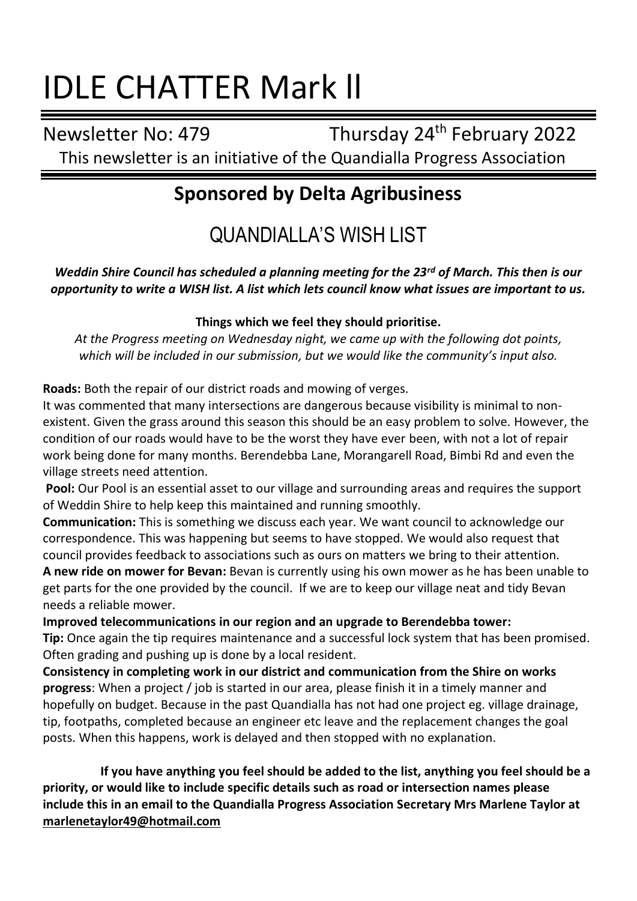# IDLE CHATTER Mark ll

Newsletter No: 479 Thursday 24th February 2022 This newsletter is an initiative of the Quandialla Progress Association

# **Sponsored by Delta Agribusiness**

QUANDIALLA'S WISH LIST

*Weddin Shire Council has scheduled a planning meeting for the 23rd of March. This then is our opportunity to write a WISH list. A list which lets council know what issues are important to us.*

### **Things which we feel they should prioritise.**

*At the Progress meeting on Wednesday night, we came up with the following dot points, which will be included in our submission, but we would like the community's input also.*

**Roads:** Both the repair of our district roads and mowing of verges.

It was commented that many intersections are dangerous because visibility is minimal to nonexistent. Given the grass around this season this should be an easy problem to solve. However, the condition of our roads would have to be the worst they have ever been, with not a lot of repair work being done for many months. Berendebba Lane, Morangarell Road, Bimbi Rd and even the village streets need attention.

**Pool:** Our Pool is an essential asset to our village and surrounding areas and requires the support of Weddin Shire to help keep this maintained and running smoothly.

**Communication:** This is something we discuss each year. We want council to acknowledge our correspondence. This was happening but seems to have stopped. We would also request that council provides feedback to associations such as ours on matters we bring to their attention.

**A new ride on mower for Bevan:** Bevan is currently using his own mower as he has been unable to get parts for the one provided by the council. If we are to keep our village neat and tidy Bevan needs a reliable mower.

**Improved telecommunications in our region and an upgrade to Berendebba tower: Tip:** Once again the tip requires maintenance and a successful lock system that has been promised. Often grading and pushing up is done by a local resident.

**Consistency in completing work in our district and communication from the Shire on works progress**: When a project / job is started in our area, please finish it in a timely manner and hopefully on budget. Because in the past Quandialla has not had one project eg. village drainage, tip, footpaths, completed because an engineer etc leave and the replacement changes the goal posts. When this happens, work is delayed and then stopped with no explanation.

**If you have anything you feel should be added to the list, anything you feel should be a priority, or would like to include specific details such as road or intersection names please include this in an email to the Quandialla Progress Association Secretary Mrs Marlene Taylor at [marlenetaylor49@hotmail.com](about:blank)**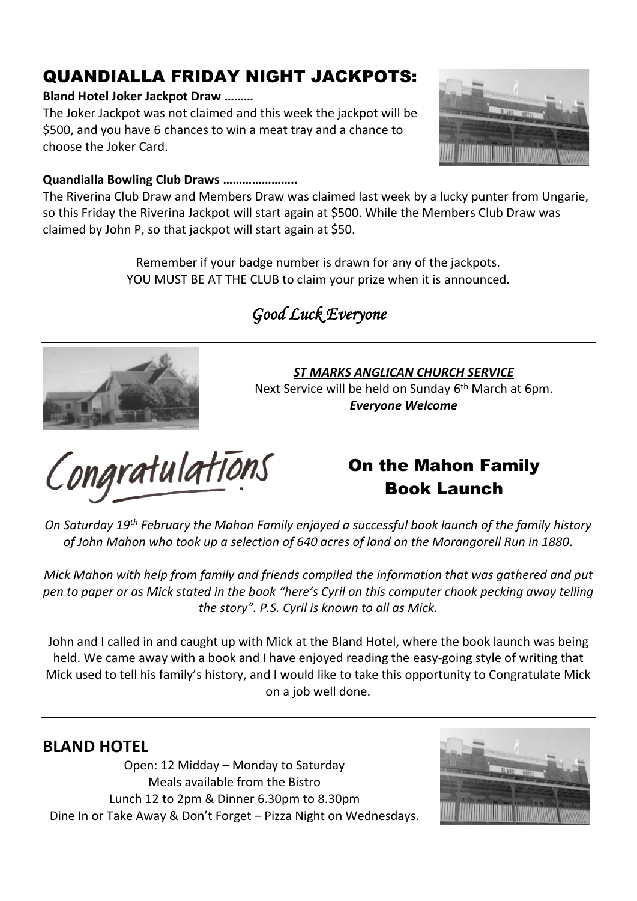# QUANDIALLA FRIDAY NIGHT JACKPOTS:

#### **Bland Hotel Joker Jackpot Draw ………**

The Joker Jackpot was not claimed and this week the jackpot will be \$500, and you have 6 chances to win a meat tray and a chance to choose the Joker Card.



#### **Quandialla Bowling Club Draws …………………..**

The Riverina Club Draw and Members Draw was claimed last week by a lucky punter from Ungarie, so this Friday the Riverina Jackpot will start again at \$500. While the Members Club Draw was claimed by John P, so that jackpot will start again at \$50.

> Remember if your badge number is drawn for any of the jackpots. YOU MUST BE AT THE CLUB to claim your prize when it is announced.

# *Good Luck Everyone*



### *ST MARKS ANGLICAN CHURCH SERVICE*

Next Service will be held on Sunday 6<sup>th</sup> March at 6pm. *Everyone Welcome*

Congratulations

# On the Mahon Family Book Launch

*On Saturday 19th February the Mahon Family enjoyed a successful book launch of the family history of John Mahon who took up a selection of 640 acres of land on the Morangorell Run in 1880.*

*Mick Mahon with help from family and friends compiled the information that was gathered and put pen to paper or as Mick stated in the book "here's Cyril on this computer chook pecking away telling the story". P.S. Cyril is known to all as Mick.*

John and I called in and caught up with Mick at the Bland Hotel, where the book launch was being held. We came away with a book and I have enjoyed reading the easy-going style of writing that Mick used to tell his family's history, and I would like to take this opportunity to Congratulate Mick on a job well done.

### **BLAND HOTEL**

Open: 12 Midday – Monday to Saturday Meals available from the Bistro Lunch 12 to 2pm & Dinner 6.30pm to 8.30pm Dine In or Take Away & Don't Forget – Pizza Night on Wednesdays.

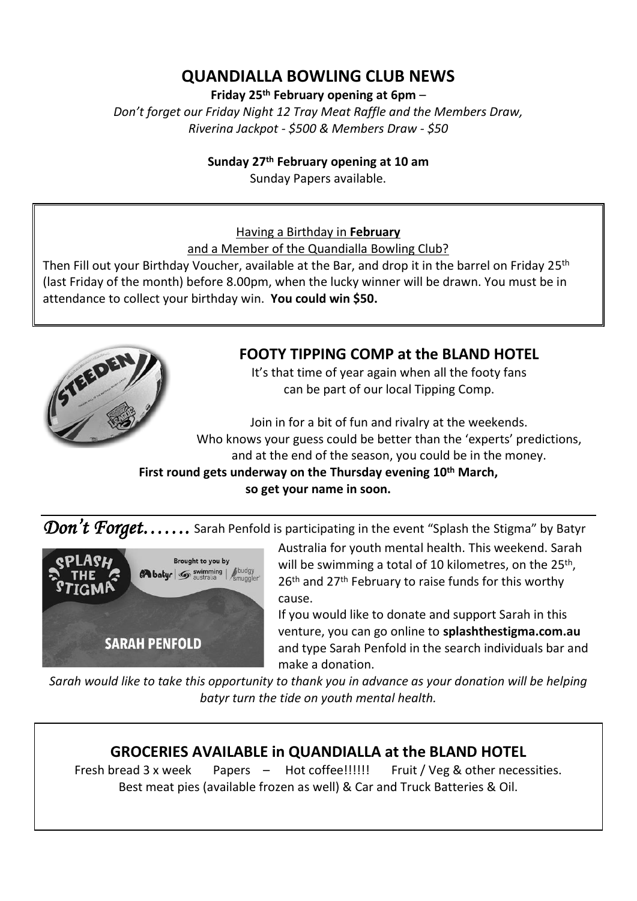## **QUANDIALLA BOWLING CLUB NEWS**

**Friday 25th February opening at 6pm** –

*Don't forget our Friday Night 12 Tray Meat Raffle and the Members Draw, Riverina Jackpot - \$500 & Members Draw - \$50*

#### **Sunday 27th February opening at 10 am**

Sunday Papers available.

### Having a Birthday in **February**

and a Member of the Quandialla Bowling Club?

Then Fill out your Birthday Voucher, available at the Bar, and drop it in the barrel on Friday 25th (last Friday of the month) before 8.00pm, when the lucky winner will be drawn. You must be in attendance to collect your birthday win. **You could win \$50.**



### **FOOTY TIPPING COMP at the BLAND HOTEL**

It's that time of year again when all the footy fans can be part of our local Tipping Comp.

Join in for a bit of fun and rivalry at the weekends. Who knows your guess could be better than the 'experts' predictions, and at the end of the season, you could be in the money.

**First round gets underway on the Thursday evening 10 th March, so get your name in soon.**

Don't Foraet...... Sarah Penfold is participating in the event "Splash the Stigma" by Batyr



Australia for youth mental health. This weekend. Sarah will be swimming a total of 10 kilometres, on the 25<sup>th</sup>, 26<sup>th</sup> and 27<sup>th</sup> February to raise funds for this worthy cause.

If you would like to donate and support Sarah in this venture, you can go online to **splashthestigma.com.au** and type Sarah Penfold in the search individuals bar and make a donation.

*Sarah would like to take this opportunity to thank you in advance as your donation will be helping batyr turn the tide on youth mental health.*

### **GROCERIES AVAILABLE in QUANDIALLA at the BLAND HOTEL**

Fresh bread 3 x week Papers – Hot coffee!!!!!! Fruit / Veg & other necessities. Best meat pies (available frozen as well) & Car and Truck Batteries & Oil.